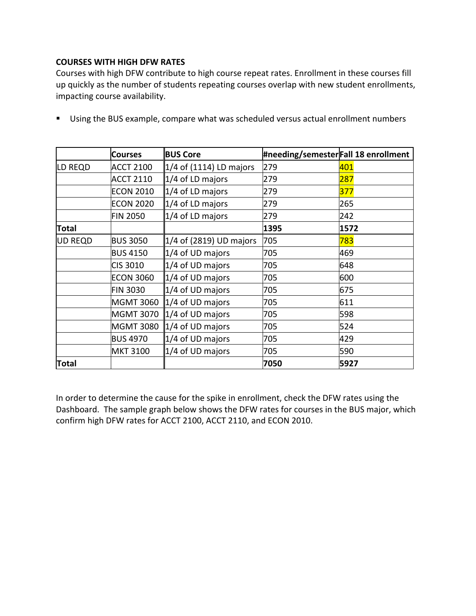## **COURSES WITH HIGH DFW RATES**

Courses with high DFW contribute to high course repeat rates. Enrollment in these courses fill up quickly as the number of students repeating courses overlap with new student enrollments, impacting course availability.

|                | <b>Courses</b>   | <b>BUS Core</b>              | #needing/semesterFall 18 enrollment |      |
|----------------|------------------|------------------------------|-------------------------------------|------|
| LD REQD        | <b>ACCT 2100</b> | 1/4 of (1114) LD majors      | 279                                 | 401  |
|                | <b>ACCT 2110</b> | $1/4$ of LD majors           | 279                                 | 287  |
|                | <b>ECON 2010</b> | $1/4$ of LD majors           | 279                                 | 377  |
|                | <b>ECON 2020</b> | $1/4$ of LD majors           | 279                                 | 265  |
|                | <b>FIN 2050</b>  | 1/4 of LD majors             | 279                                 | 242  |
| <b>Total</b>   |                  |                              | 1395                                | 1572 |
| <b>UD REQD</b> | <b>BUS 3050</b>  | $1/4$ of (2819) UD majors    | 705                                 | 783  |
|                | <b>BUS 4150</b>  | $1/4$ of UD majors           | 705                                 | 469  |
|                | CIS 3010         | $1/4$ of UD majors           | 705                                 | 648  |
|                | <b>ECON 3060</b> | $\vert 1/4$ of UD majors     | 705                                 | 600  |
|                | <b>FIN 3030</b>  | $1/4$ of UD majors           | 705                                 | 675  |
|                | <b>MGMT 3060</b> | $\vert$ 1/4 of UD majors     | 705                                 | 611  |
|                | <b>MGMT 3070</b> | $\vert 1/4$ of UD majors     | 705                                 | 598  |
|                | <b>MGMT 3080</b> | $\parallel$ 1/4 of UD majors | 705                                 | 524  |
|                | <b>BUS 4970</b>  | $1/4$ of UD majors           | 705                                 | 429  |
|                | <b>MKT 3100</b>  | $1/4$ of UD majors           | 705                                 | 590  |
| <b>Total</b>   |                  |                              | 7050                                | 5927 |

■ Using the BUS example, compare what was scheduled versus actual enrollment numbers

In order to determine the cause for the spike in enrollment, check the DFW rates using the Dashboard. The sample graph below shows the DFW rates for courses in the BUS major, which confirm high DFW rates for ACCT 2100, ACCT 2110, and ECON 2010.